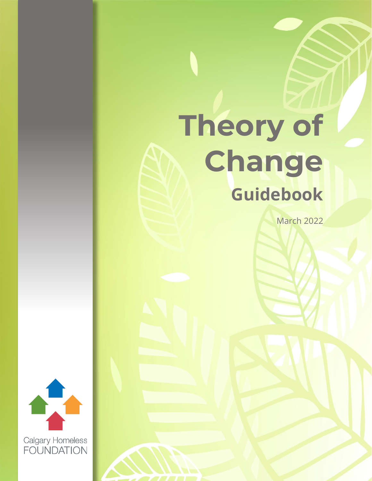# **Theory of Change Guidebook**

March 2022

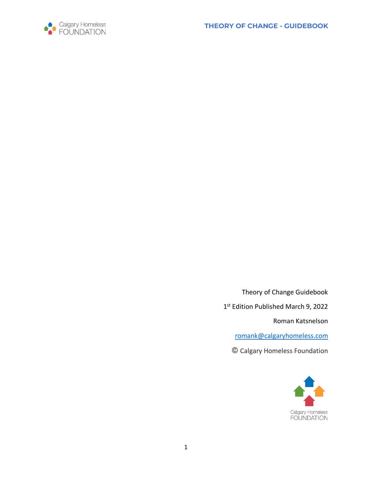



Theory of Change Guidebook 1st Edition Published March 9, 2022 Roman Katsnelson [romank@calgaryhomeless.com](mailto:romank@calgaryhomeless.com)

**©** Calgary Homeless Foundation

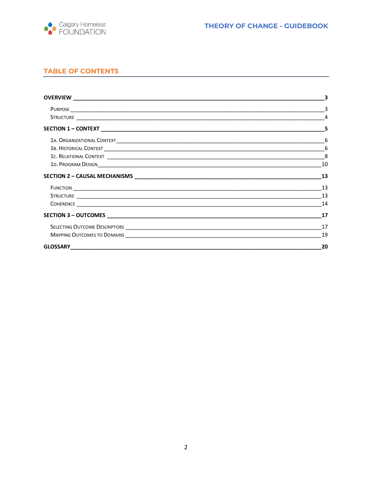

# **TABLE OF CONTENTS**

|                                                                                                                                                                                                                                      | 10 |
|--------------------------------------------------------------------------------------------------------------------------------------------------------------------------------------------------------------------------------------|----|
|                                                                                                                                                                                                                                      | 13 |
| Function <b>contract that the contract of the contract of the contract of the contract of the contract of the contract of the contract of the contract of the contract of the contract of the contract of the contract of the co</b> | 13 |
|                                                                                                                                                                                                                                      | 13 |
|                                                                                                                                                                                                                                      | 14 |
|                                                                                                                                                                                                                                      | 17 |
|                                                                                                                                                                                                                                      | 17 |
| MAPPING OUTCOMES TO DOMAINS NAMEL AND RESIDENCE TO A REPORT OF THE SERVICE OF THE SERVICE OF THE SERVICE OF THE SERVICE OF THE SERVICE OF THE SERVICE OF THE SERVICE OF THE SERVICE OF THE SERVICE OF THE SERVICE OF THE SERVI       |    |
|                                                                                                                                                                                                                                      | 20 |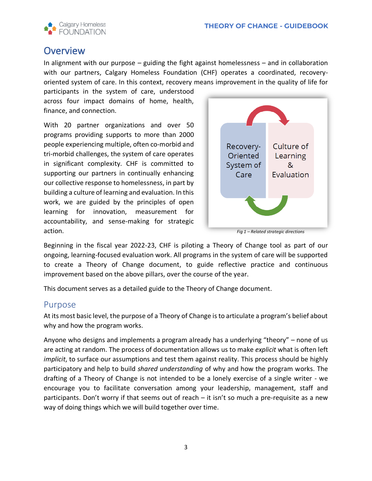

# <span id="page-3-0"></span>**Overview**

In alignment with our purpose – guiding the fight against homelessness – and in collaboration with our partners, Calgary Homeless Foundation (CHF) operates a coordinated, recoveryoriented system of care. In this context, recovery means improvement in the quality of life for

participants in the system of care, understood across four impact domains of home, health, finance, and connection.

With 20 partner organizations and over 50 programs providing supports to more than 2000 people experiencing multiple, often co-morbid and tri-morbid challenges, the system of care operates in significant complexity. CHF is committed to supporting our partners in continually enhancing our collective response to homelessness, in part by building a culture of learning and evaluation. In this work, we are guided by the principles of open learning for innovation, measurement for accountability, and sense-making for strategic action.



*Fig 1 – Related strategic directions*

Beginning in the fiscal year 2022-23, CHF is piloting a Theory of Change tool as part of our ongoing, learning-focused evaluation work. All programs in the system of care will be supported to create a Theory of Change document, to guide reflective practice and continuous improvement based on the above pillars, over the course of the year.

This document serves as a detailed guide to the Theory of Change document.

# <span id="page-3-1"></span>Purpose

At its most basic level, the purpose of a Theory of Change is to articulate a program's belief about why and how the program works.

Anyone who designs and implements a program already has a underlying "theory" – none of us are acting at random. The process of documentation allows us to make *explicit* what is often left *implicit*, to surface our assumptions and test them against reality. This process should be highly participatory and help to build *shared understanding* of why and how the program works. The drafting of a Theory of Change is not intended to be a lonely exercise of a single writer - we encourage you to facilitate conversation among your leadership, management, staff and participants. Don't worry if that seems out of reach – it isn't so much a pre-requisite as a new way of doing things which we will build together over time.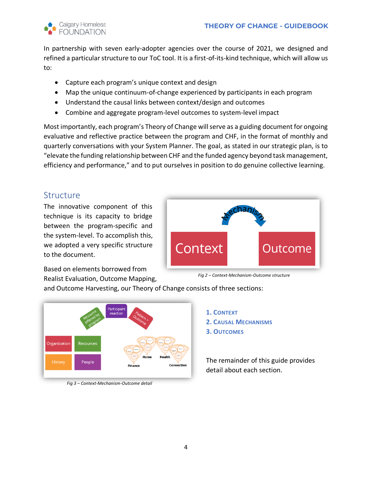

In partnership with seven early-adopter agencies over the course of 2021, we designed and refined a particular structure to our ToC tool. It is a first-of-its-kind technique, which will allow us to:

- Capture each program's unique context and design
- Map the unique continuum-of-change experienced by participants in each program
- Understand the causal links between context/design and outcomes
- Combine and aggregate program-level outcomes to system-level impact

Most importantly, each program's Theory of Change will serve as a guiding document for ongoing evaluative and reflective practice between the program and CHF, in the format of monthly and quarterly conversations with your System Planner. The goal, as stated in our strategic plan, is to "elevate the funding relationship between CHF and the funded agency beyond task management, efficiency and performance," and to put ourselves in position to do genuine collective learning.

# <span id="page-4-0"></span>**Structure**

The innovative component of this technique is its capacity to bridge between the program-specific and the system-level. To accomplish this, we adopted a very specific structure to the document.



Based on elements borrowed from Realist Evaluation, Outcome Mapping,



and Outcome Harvesting, our Theory of Change consists of three sections:



*Fig 3 – Context-Mechanism-Outcome detail*



The remainder of this guide provides detail about each section.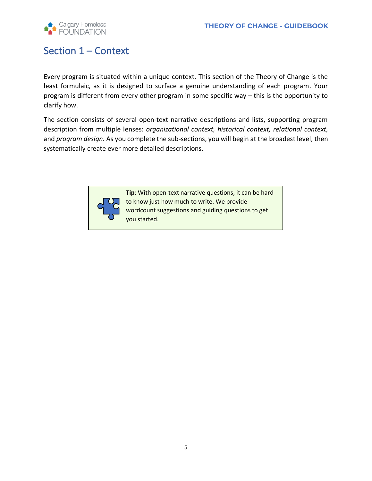

# <span id="page-5-0"></span>Section 1 – Context

Every program is situated within a unique context. This section of the Theory of Change is the least formulaic, as it is designed to surface a genuine understanding of each program. Your program is different from every other program in some specific way – this is the opportunity to clarify how.

The section consists of several open-text narrative descriptions and lists, supporting program description from multiple lenses: *organizational context, historical context, relational context,*  and *program design.* As you complete the sub-sections, you will begin at the broadest level, then systematically create ever more detailed descriptions.



**Tip**: With open-text narrative questions, it can be hard to know just how much to write. We provide wordcount suggestions and guiding questions to get you started.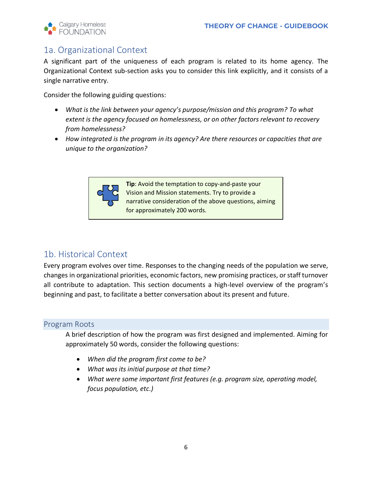

# <span id="page-6-0"></span>1a. Organizational Context

A significant part of the uniqueness of each program is related to its home agency. The Organizational Context sub-section asks you to consider this link explicitly, and it consists of a single narrative entry.

Consider the following guiding questions:

- *What is the link between your agency's purpose/mission and this program? To what extent is the agency focused on homelessness, or on other factors relevant to recovery from homelessness?*
- *How integrated is the program in its agency? Are there resources or capacities that are unique to the organization?*



**Tip**: Avoid the temptation to copy-and-paste your Vision and Mission statements. Try to provide a narrative consideration of the above questions, aiming for approximately 200 words.

# <span id="page-6-1"></span>1b. Historical Context

Every program evolves over time. Responses to the changing needs of the population we serve, changes in organizational priorities, economic factors, new promising practices, orstaff turnover all contribute to adaptation. This section documents a high-level overview of the program's beginning and past, to facilitate a better conversation about its present and future.

# Program Roots

A brief description of how the program was first designed and implemented. Aiming for approximately 50 words, consider the following questions:

- *When did the program first come to be?*
- *What was its initial purpose at that time?*
- *What were some important first features (e.g. program size, operating model, focus population, etc.)*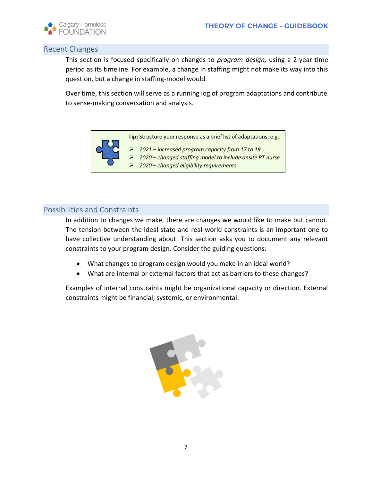

# Recent Changes

This section is focused specifically on changes to *program design,* using a 2-year time period as its timeline. For example, a change in staffing might not make its way into this question, but a change in staffing-model would.

Over time, this section will serve as a running log of program adaptations and contribute to sense-making conversation and analysis.



# Possibilities and Constraints

In addition to changes we make, there are changes we would like to make but cannot. The tension between the ideal state and real-world constraints is an important one to have collective understanding about. This section asks you to document any relevant constraints to your program design. Consider the guiding questions:

- What changes to program design would you make in an ideal world?
- What are internal or external factors that act as barriers to these changes?

Examples of internal constraints might be organizational capacity or direction. External constraints might be financial, systemic, or environmental.

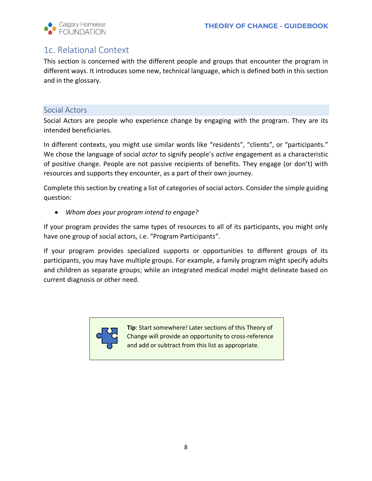

# <span id="page-8-0"></span>1c. Relational Context

This section is concerned with the different people and groups that encounter the program in different ways. It introduces some new, technical language, which is defined both in this section and in the glossary.

# Social Actors

Social Actors are people who experience change by engaging with the program. They are its intended beneficiaries.

In different contexts, you might use similar words like "residents", "clients", or "participants." We chose the language of social *actor* to signify people's *active* engagement as a characteristic of positive change. People are not passive recipients of benefits. They engage (or don't) with resources and supports they encounter, as a part of their own journey.

Complete this section by creating a list of categories of social actors. Consider the simple guiding question:

• *Whom does your program intend to engage?*

If your program provides the same types of resources to all of its participants, you might only have one group of social actors, i.e. "Program Participants".

If your program provides specialized supports or opportunities to different groups of its participants, you may have multiple groups. For example, a family program might specify adults and children as separate groups; while an integrated medical model might delineate based on current diagnosis or other need.



**Tip**: Start somewhere! Later sections of this Theory of Change will provide an opportunity to cross-reference and add or subtract from this list as appropriate.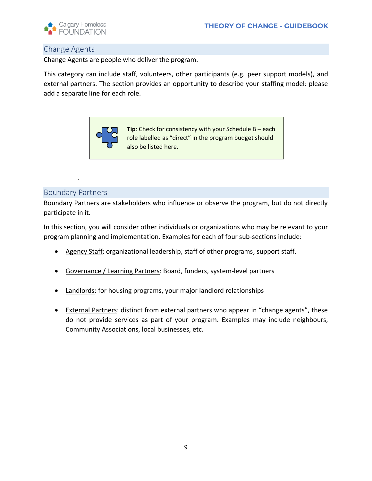

# Change Agents

Change Agents are people who deliver the program.

This category can include staff, volunteers, other participants (e.g. peer support models), and external partners. The section provides an opportunity to describe your staffing model: please add a separate line for each role.



# Boundary Partners

*.* 

Boundary Partners are stakeholders who influence or observe the program, but do not directly participate in it.

In this section, you will consider other individuals or organizations who may be relevant to your program planning and implementation. Examples for each of four sub-sections include:

- Agency Staff: organizational leadership, staff of other programs, support staff.
- Governance / Learning Partners: Board, funders, system-level partners
- Landlords: for housing programs, your major landlord relationships
- External Partners: distinct from external partners who appear in "change agents", these do not provide services as part of your program. Examples may include neighbours, Community Associations, local businesses, etc.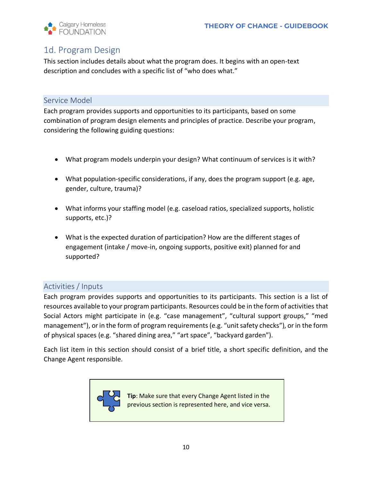

# <span id="page-10-0"></span>1d. Program Design

This section includes details about what the program does. It begins with an open-text description and concludes with a specific list of "who does what."

# Service Model

Each program provides supports and opportunities to its participants, based on some combination of program design elements and principles of practice. Describe your program, considering the following guiding questions:

- What program models underpin your design? What continuum of services is it with?
- What population-specific considerations, if any, does the program support (e.g. age, gender, culture, trauma)?
- What informs your staffing model (e.g. caseload ratios, specialized supports, holistic supports, etc.)?
- What is the expected duration of participation? How are the different stages of engagement (intake / move-in, ongoing supports, positive exit) planned for and supported?

# Activities / Inputs

Each program provides supports and opportunities to its participants. This section is a list of resources available to your program participants. Resources could be in the form of activities that Social Actors might participate in (e.g. "case management", "cultural support groups," "med management"), or in the form of program requirements (e.g. "unit safety checks"), or in the form of physical spaces (e.g. "shared dining area," "art space", "backyard garden").

Each list item in this section should consist of a brief title, a short specific definition, and the Change Agent responsible.



**Tip**: Make sure that every Change Agent listed in the previous section is represented here, and vice versa.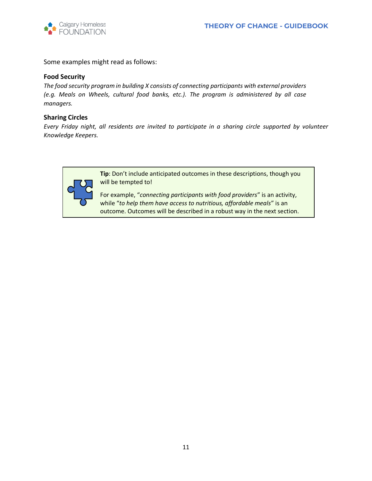

Some examples might read as follows:

#### **Food Security**

*The food security program in building X consists of connecting participants with external providers (e.g. Meals on Wheels, cultural food banks, etc.). The program is administered by all case managers.* 

#### **Sharing Circles**

*Every Friday night, all residents are invited to participate in a sharing circle supported by volunteer Knowledge Keepers.* 



**Tip**: Don't include anticipated outcomes in these descriptions, though you will be tempted to!

For example, "*connecting participants with food providers*" is an activity, while "*to help them have access to nutritious, affordable meals*" is an outcome. Outcomes will be described in a robust way in the next section.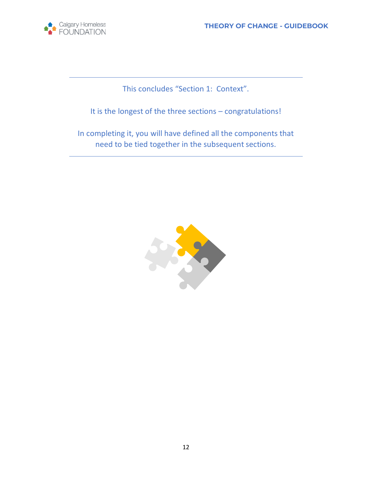

This concludes "Section 1: Context".

It is the longest of the three sections – congratulations!

In completing it, you will have defined all the components that need to be tied together in the subsequent sections.

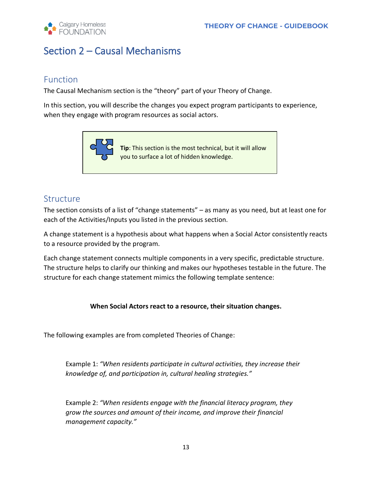

# <span id="page-13-0"></span>Section 2 – Causal Mechanisms

# <span id="page-13-1"></span>Function

The Causal Mechanism section is the "theory" part of your Theory of Change.

In this section, you will describe the changes you expect program participants to experience, when they engage with program resources as social actors.



# <span id="page-13-2"></span>Structure

The section consists of a list of "change statements" – as many as you need, but at least one for each of the Activities/Inputs you listed in the previous section.

A change statement is a hypothesis about what happens when a Social Actor consistently reacts to a resource provided by the program.

Each change statement connects multiple components in a very specific, predictable structure. The structure helps to clarify our thinking and makes our hypotheses testable in the future. The structure for each change statement mimics the following template sentence:

# **When Social Actors react to a resource, their situation changes.**

The following examples are from completed Theories of Change:

Example 1: *"When residents participate in cultural activities, they increase their knowledge of, and participation in, cultural healing strategies."*

Example 2: *"When residents engage with the financial literacy program, they grow the sources and amount of their income, and improve their financial management capacity."*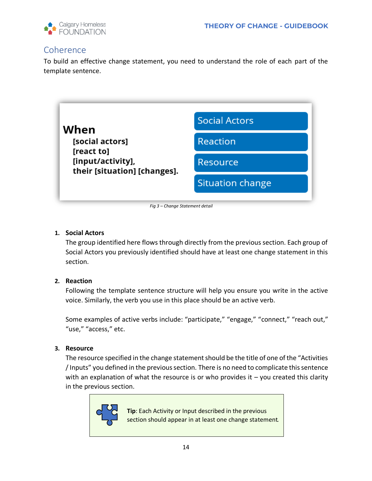

# <span id="page-14-0"></span>**Coherence**

To build an effective change statement, you need to understand the role of each part of the template sentence.



*Fig 3 – Change Statement detail*

# **1. Social Actors**

The group identified here flows through directly from the previous section. Each group of Social Actors you previously identified should have at least one change statement in this section.

#### **2. Reaction**

Following the template sentence structure will help you ensure you write in the active voice. Similarly, the verb you use in this place should be an active verb.

Some examples of active verbs include: "participate," "engage," "connect," "reach out," "use," "access," etc.

#### **3. Resource**

The resource specified in the change statement should be the title of one of the "Activities / Inputs" you defined in the previous section. There is no need to complicate this sentence with an explanation of what the resource is or who provides it  $-$  you created this clarity in the previous section.



**Tip**: Each Activity or Input described in the previous section should appear in at least one change statement.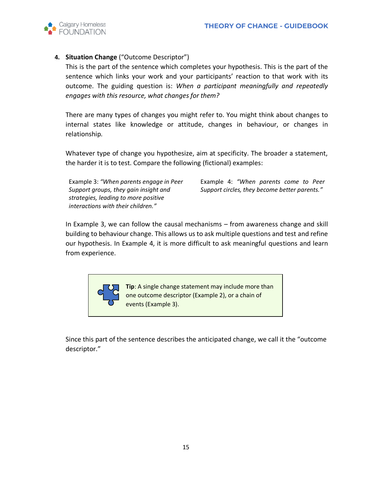

# **4. Situation Change** ("Outcome Descriptor")

This is the part of the sentence which completes your hypothesis. This is the part of the sentence which links your work and your participants' reaction to that work with its outcome. The guiding question is: *When a participant meaningfully and repeatedly engages with this resource, what changes for them?* 

There are many types of changes you might refer to. You might think about changes to internal states like knowledge or attitude, changes in behaviour, or changes in relationship*.*

Whatever type of change you hypothesize, aim at specificity. The broader a statement, the harder it is to test. Compare the following (fictional) examples:

Example 3: *"When parents engage in Peer Support groups, they gain insight and strategies, leading to more positive interactions with their children."*

Example 4: *"When parents come to Peer Support circles, they become better parents."*

In Example 3, we can follow the causal mechanisms – from awareness change and skill building to behaviour change. This allows us to ask multiple questions and test and refine our hypothesis. In Example 4, it is more difficult to ask meaningful questions and learn from experience.



**Tip**: A single change statement may include more than one outcome descriptor (Example 2), or a chain of events (Example 3).

Since this part of the sentence describes the anticipated change, we call it the "outcome descriptor."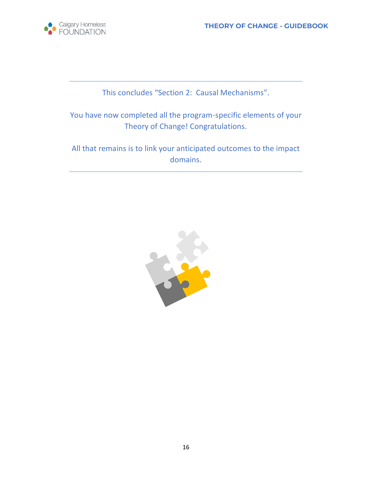

This concludes "Section 2: Causal Mechanisms".

You have now completed all the program-specific elements of your Theory of Change! Congratulations.

All that remains is to link your anticipated outcomes to the impact domains.

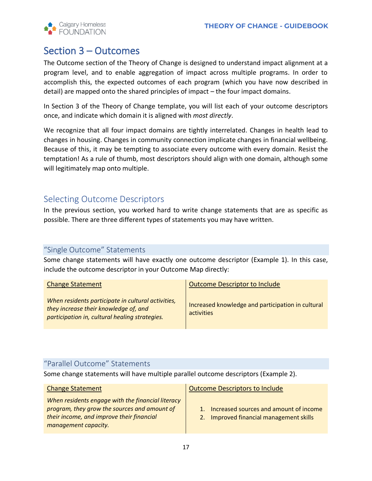

# <span id="page-17-0"></span>Section 3 – Outcomes

The Outcome section of the Theory of Change is designed to understand impact alignment at a program level, and to enable aggregation of impact across multiple programs. In order to accomplish this, the expected outcomes of each program (which you have now described in detail) are mapped onto the shared principles of impact – the four impact domains.

In Section 3 of the Theory of Change template, you will list each of your outcome descriptors once, and indicate which domain it is aligned with *most directly*.

We recognize that all four impact domains are tightly interrelated. Changes in health lead to changes in housing. Changes in community connection implicate changes in financial wellbeing. Because of this, it may be tempting to associate every outcome with every domain. Resist the temptation! As a rule of thumb, most descriptors should align with one domain, although some will legitimately map onto multiple.

# <span id="page-17-1"></span>Selecting Outcome Descriptors

In the previous section, you worked hard to write change statements that are as specific as possible. There are three different types of statements you may have written.

# "Single Outcome" Statements

Some change statements will have exactly one outcome descriptor (Example 1). In this case, include the outcome descriptor in your Outcome Map directly:

| <b>Change Statement</b>                                                                                                                       | Outcome Descriptor to Include                                   |
|-----------------------------------------------------------------------------------------------------------------------------------------------|-----------------------------------------------------------------|
| When residents participate in cultural activities,<br>they increase their knowledge of, and<br>participation in, cultural healing strategies. | Increased knowledge and participation in cultural<br>activities |

# "Parallel Outcome" Statements

Some change statements will have multiple parallel outcome descriptors (Example 2).

*When residents engage with the financial literacy program, they grow the sources and amount of their income, and improve their financial management capacity.*

Change Statement **Change Statement** Change Statement

- 1. Increased sources and amount of income
- 2. Improved financial management skills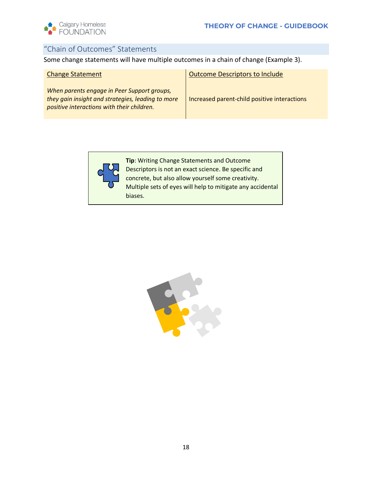

# "Chain of Outcomes" Statements

Some change statements will have multiple outcomes in a chain of change (Example 3).

| <b>Change Statement</b>                                                                                                                        | <b>Outcome Descriptors to Include</b>        |
|------------------------------------------------------------------------------------------------------------------------------------------------|----------------------------------------------|
| When parents engage in Peer Support groups,<br>they gain insight and strategies, leading to more<br>positive interactions with their children. | Increased parent-child positive interactions |



**Tip**: Writing Change Statements and Outcome Descriptors is not an exact science. Be specific and concrete, but also allow yourself some creativity. Multiple sets of eyes will help to mitigate any accidental biases.

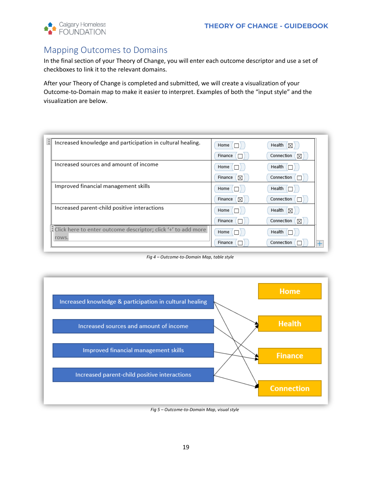

# <span id="page-19-0"></span>Mapping Outcomes to Domains

In the final section of your Theory of Change, you will enter each outcome descriptor and use a set of checkboxes to link it to the relevant domains.

After your Theory of Change is completed and submitted, we will create a visualization of your Outcome-to-Domain map to make it easier to interpret. Examples of both the "input style" and the visualization are below.

| в<br>Increased knowledge and participation in cultural healing.        | Home $\Box$  | Health $\boxed{\boxtimes}$ |
|------------------------------------------------------------------------|--------------|----------------------------|
|                                                                        | Finance      | Connection<br>$\boxtimes$  |
| Increased sources and amount of income                                 | Home         | Health                     |
|                                                                        | Finance<br>X | Connection                 |
| Improved financial management skills                                   | Home         | Health                     |
|                                                                        | Finance<br>⊠ | Connection                 |
| Increased parent-child positive interactions                           | Home (       | Health<br>K                |
|                                                                        | Finance      | Connection<br>⊠            |
| Click here to enter outcome descriptor; click '+' to add more<br>rows. | Home (       | Health                     |
|                                                                        | Finance      | Connection                 |

*Fig 4 – Outcome-to-Domain Map, table style*



*Fig 5 – Outcome-to-Domain Map, visual style*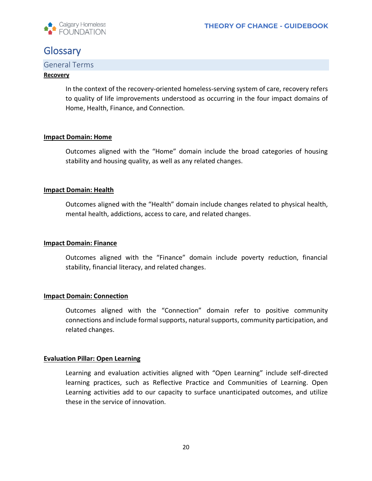

# <span id="page-20-0"></span>**Glossary**

# General Terms

#### **Recovery**

In the context of the recovery-oriented homeless-serving system of care, recovery refers to quality of life improvements understood as occurring in the four impact domains of Home, Health, Finance, and Connection.

#### **Impact Domain: Home**

Outcomes aligned with the "Home" domain include the broad categories of housing stability and housing quality, as well as any related changes.

#### **Impact Domain: Health**

Outcomes aligned with the "Health" domain include changes related to physical health, mental health, addictions, access to care, and related changes.

#### **Impact Domain: Finance**

Outcomes aligned with the "Finance" domain include poverty reduction, financial stability, financial literacy, and related changes.

#### **Impact Domain: Connection**

Outcomes aligned with the "Connection" domain refer to positive community connections and include formal supports, natural supports, community participation, and related changes.

#### **Evaluation Pillar: Open Learning**

Learning and evaluation activities aligned with "Open Learning" include self-directed learning practices, such as Reflective Practice and Communities of Learning. Open Learning activities add to our capacity to surface unanticipated outcomes, and utilize these in the service of innovation.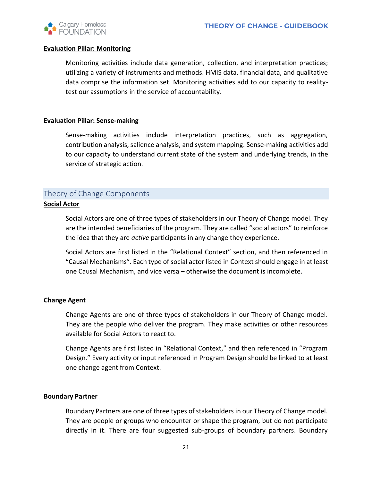

#### **Evaluation Pillar: Monitoring**

Monitoring activities include data generation, collection, and interpretation practices; utilizing a variety of instruments and methods. HMIS data, financial data, and qualitative data comprise the information set. Monitoring activities add to our capacity to realitytest our assumptions in the service of accountability.

### **Evaluation Pillar: Sense-making**

Sense-making activities include interpretation practices, such as aggregation, contribution analysis, salience analysis, and system mapping. Sense-making activities add to our capacity to understand current state of the system and underlying trends, in the service of strategic action.

# Theory of Change Components

# **Social Actor**

Social Actors are one of three types of stakeholders in our Theory of Change model. They are the intended beneficiaries of the program. They are called "social actors" to reinforce the idea that they are *active* participants in any change they experience.

Social Actors are first listed in the "Relational Context" section, and then referenced in "Causal Mechanisms". Each type of social actor listed in Context should engage in at least one Causal Mechanism, and vice versa – otherwise the document is incomplete.

#### **Change Agent**

Change Agents are one of three types of stakeholders in our Theory of Change model. They are the people who deliver the program. They make activities or other resources available for Social Actors to react to.

Change Agents are first listed in "Relational Context," and then referenced in "Program Design." Every activity or input referenced in Program Design should be linked to at least one change agent from Context.

#### **Boundary Partner**

Boundary Partners are one of three types of stakeholders in our Theory of Change model. They are people or groups who encounter or shape the program, but do not participate directly in it. There are four suggested sub-groups of boundary partners. Boundary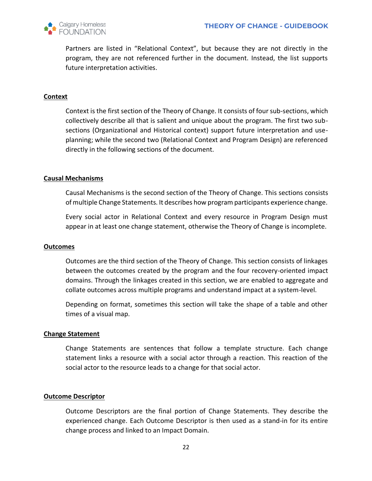

Partners are listed in "Relational Context", but because they are not directly in the program, they are not referenced further in the document. Instead, the list supports future interpretation activities.

### **Context**

Context is the first section of the Theory of Change. It consists of four sub-sections, which collectively describe all that is salient and unique about the program. The first two subsections (Organizational and Historical context) support future interpretation and useplanning; while the second two (Relational Context and Program Design) are referenced directly in the following sections of the document.

### **Causal Mechanisms**

Causal Mechanisms is the second section of the Theory of Change. This sections consists of multiple Change Statements. It describes how program participants experience change.

Every social actor in Relational Context and every resource in Program Design must appear in at least one change statement, otherwise the Theory of Change is incomplete.

#### **Outcomes**

Outcomes are the third section of the Theory of Change. This section consists of linkages between the outcomes created by the program and the four recovery-oriented impact domains. Through the linkages created in this section, we are enabled to aggregate and collate outcomes across multiple programs and understand impact at a system-level.

Depending on format, sometimes this section will take the shape of a table and other times of a visual map.

#### **Change Statement**

Change Statements are sentences that follow a template structure. Each change statement links a resource with a social actor through a reaction. This reaction of the social actor to the resource leads to a change for that social actor.

#### **Outcome Descriptor**

Outcome Descriptors are the final portion of Change Statements. They describe the experienced change. Each Outcome Descriptor is then used as a stand-in for its entire change process and linked to an Impact Domain.